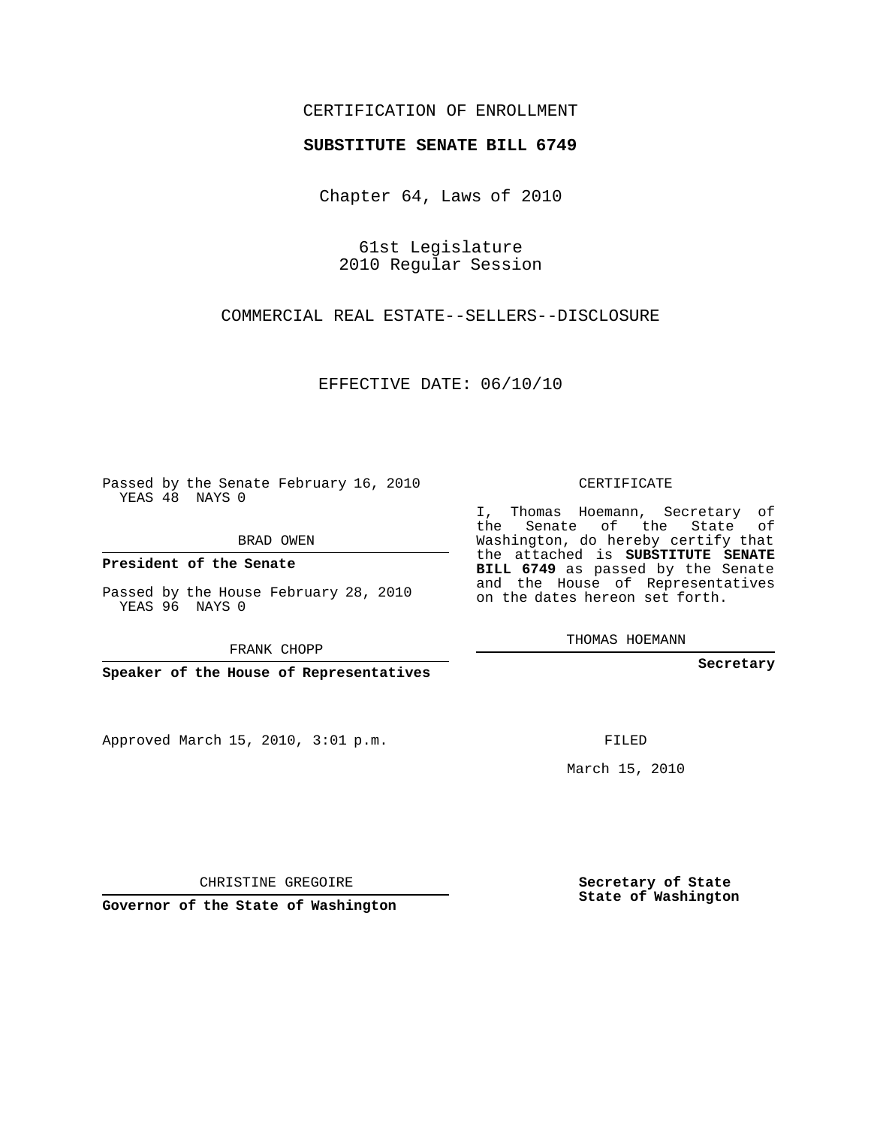### CERTIFICATION OF ENROLLMENT

#### **SUBSTITUTE SENATE BILL 6749**

Chapter 64, Laws of 2010

61st Legislature 2010 Regular Session

COMMERCIAL REAL ESTATE--SELLERS--DISCLOSURE

EFFECTIVE DATE: 06/10/10

Passed by the Senate February 16, 2010 YEAS 48 NAYS 0

BRAD OWEN

**President of the Senate**

Passed by the House February 28, 2010 YEAS 96 NAYS 0

FRANK CHOPP

**Speaker of the House of Representatives**

Approved March 15, 2010, 3:01 p.m.

CERTIFICATE

I, Thomas Hoemann, Secretary of the Senate of the State of Washington, do hereby certify that the attached is **SUBSTITUTE SENATE BILL 6749** as passed by the Senate and the House of Representatives on the dates hereon set forth.

THOMAS HOEMANN

**Secretary**

FILED

March 15, 2010

**Secretary of State State of Washington**

CHRISTINE GREGOIRE

**Governor of the State of Washington**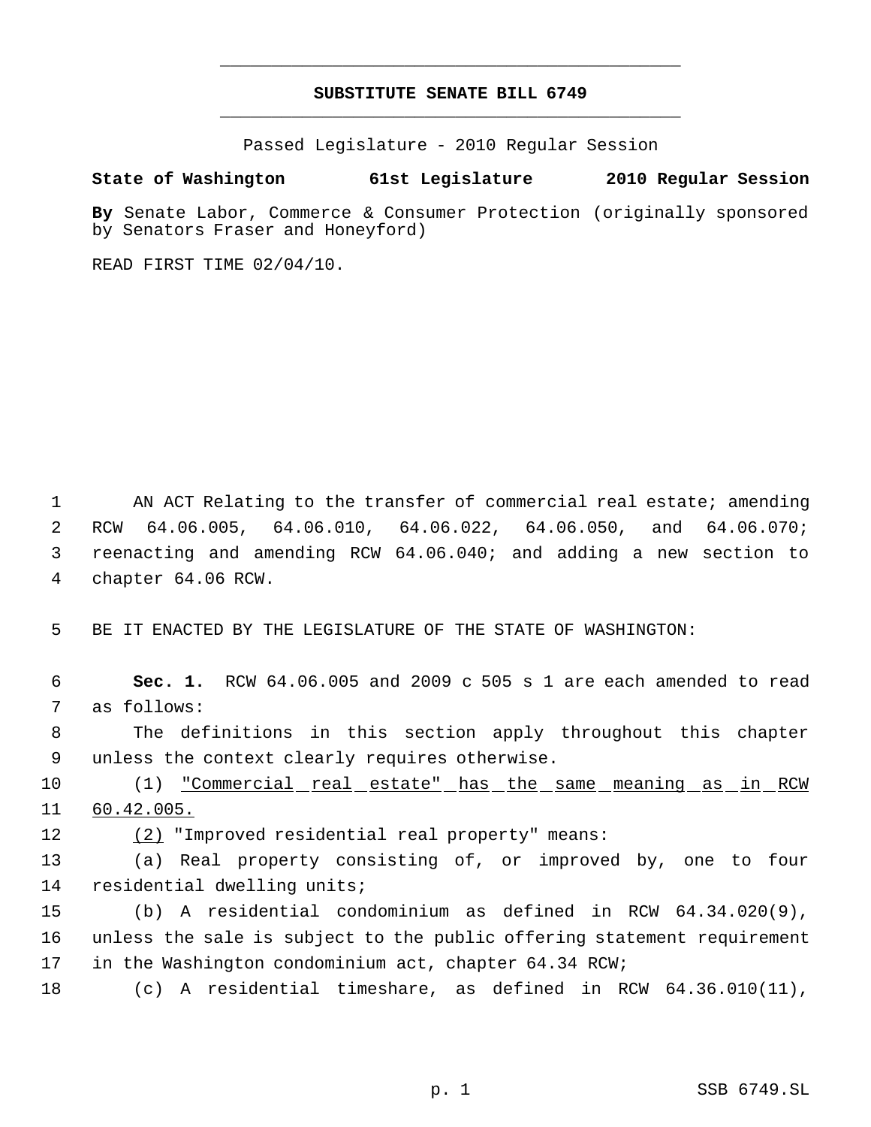# **SUBSTITUTE SENATE BILL 6749** \_\_\_\_\_\_\_\_\_\_\_\_\_\_\_\_\_\_\_\_\_\_\_\_\_\_\_\_\_\_\_\_\_\_\_\_\_\_\_\_\_\_\_\_\_

\_\_\_\_\_\_\_\_\_\_\_\_\_\_\_\_\_\_\_\_\_\_\_\_\_\_\_\_\_\_\_\_\_\_\_\_\_\_\_\_\_\_\_\_\_

Passed Legislature - 2010 Regular Session

### **State of Washington 61st Legislature 2010 Regular Session**

**By** Senate Labor, Commerce & Consumer Protection (originally sponsored by Senators Fraser and Honeyford)

READ FIRST TIME 02/04/10.

1 AN ACT Relating to the transfer of commercial real estate; amending RCW 64.06.005, 64.06.010, 64.06.022, 64.06.050, and 64.06.070; reenacting and amending RCW 64.06.040; and adding a new section to chapter 64.06 RCW.

5 BE IT ENACTED BY THE LEGISLATURE OF THE STATE OF WASHINGTON:

 6 **Sec. 1.** RCW 64.06.005 and 2009 c 505 s 1 are each amended to read 7 as follows:

 8 The definitions in this section apply throughout this chapter 9 unless the context clearly requires otherwise.

10 (1) <u>"Commercial real estate" has the same meaning as in RCW</u> 11 60.42.005.

12 (2) "Improved residential real property" means:

13 (a) Real property consisting of, or improved by, one to four 14 residential dwelling units;

15 (b) A residential condominium as defined in RCW 64.34.020(9), 16 unless the sale is subject to the public offering statement requirement 17 in the Washington condominium act, chapter 64.34 RCW;

18 (c) A residential timeshare, as defined in RCW 64.36.010(11),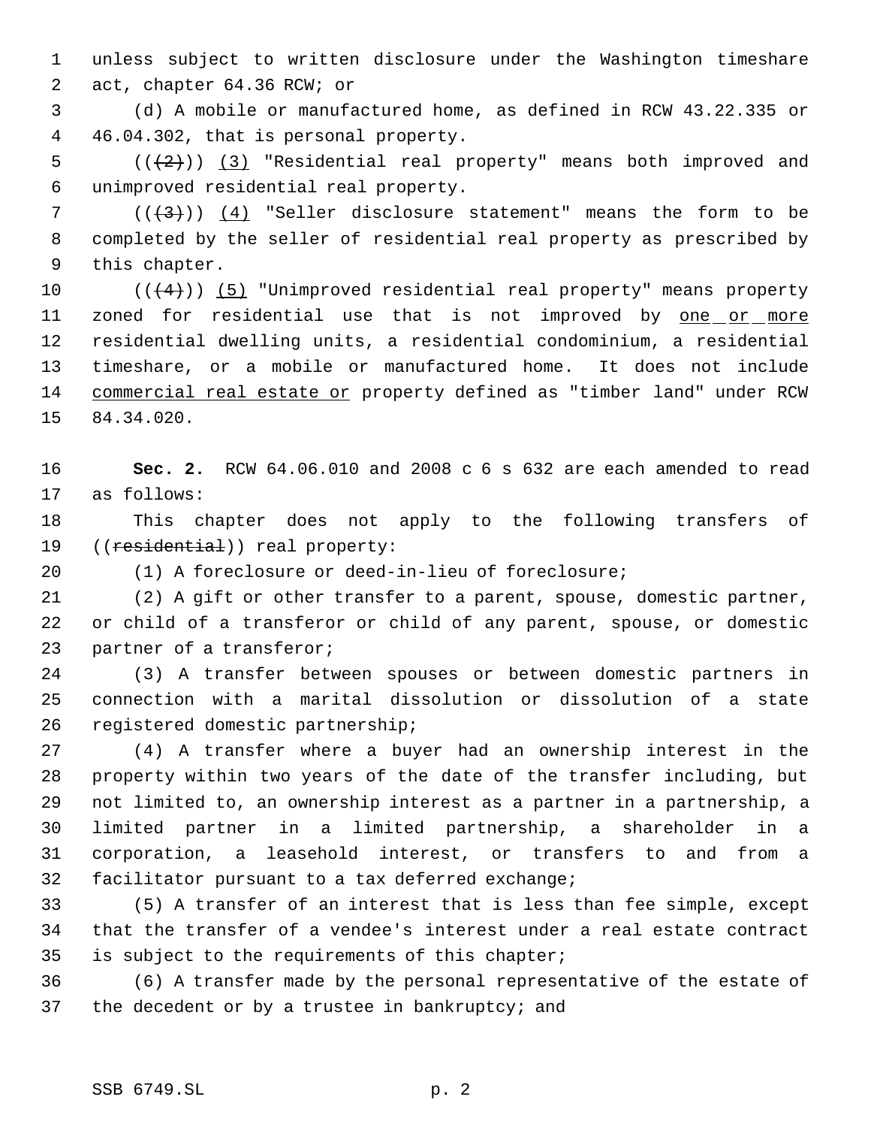unless subject to written disclosure under the Washington timeshare act, chapter 64.36 RCW; or

 (d) A mobile or manufactured home, as defined in RCW 43.22.335 or 46.04.302, that is personal property.

5  $((+2))$   $(3)$  "Residential real property" means both improved and unimproved residential real property.

7 ( $(\frac{4}{3})$ )  $(4)$  "Seller disclosure statement" means the form to be completed by the seller of residential real property as prescribed by this chapter.

 $((+4))$  (5) "Unimproved residential real property" means property 11 zoned for residential use that is not improved by one or more residential dwelling units, a residential condominium, a residential timeshare, or a mobile or manufactured home. It does not include 14 commercial real estate or property defined as "timber land" under RCW 84.34.020.

 **Sec. 2.** RCW 64.06.010 and 2008 c 6 s 632 are each amended to read as follows:

 This chapter does not apply to the following transfers of 19 ((residential)) real property:

(1) A foreclosure or deed-in-lieu of foreclosure;

 (2) A gift or other transfer to a parent, spouse, domestic partner, or child of a transferor or child of any parent, spouse, or domestic partner of a transferor;

 (3) A transfer between spouses or between domestic partners in connection with a marital dissolution or dissolution of a state registered domestic partnership;

 (4) A transfer where a buyer had an ownership interest in the property within two years of the date of the transfer including, but not limited to, an ownership interest as a partner in a partnership, a limited partner in a limited partnership, a shareholder in a corporation, a leasehold interest, or transfers to and from a facilitator pursuant to a tax deferred exchange;

 (5) A transfer of an interest that is less than fee simple, except that the transfer of a vendee's interest under a real estate contract is subject to the requirements of this chapter;

 (6) A transfer made by the personal representative of the estate of 37 the decedent or by a trustee in bankruptcy; and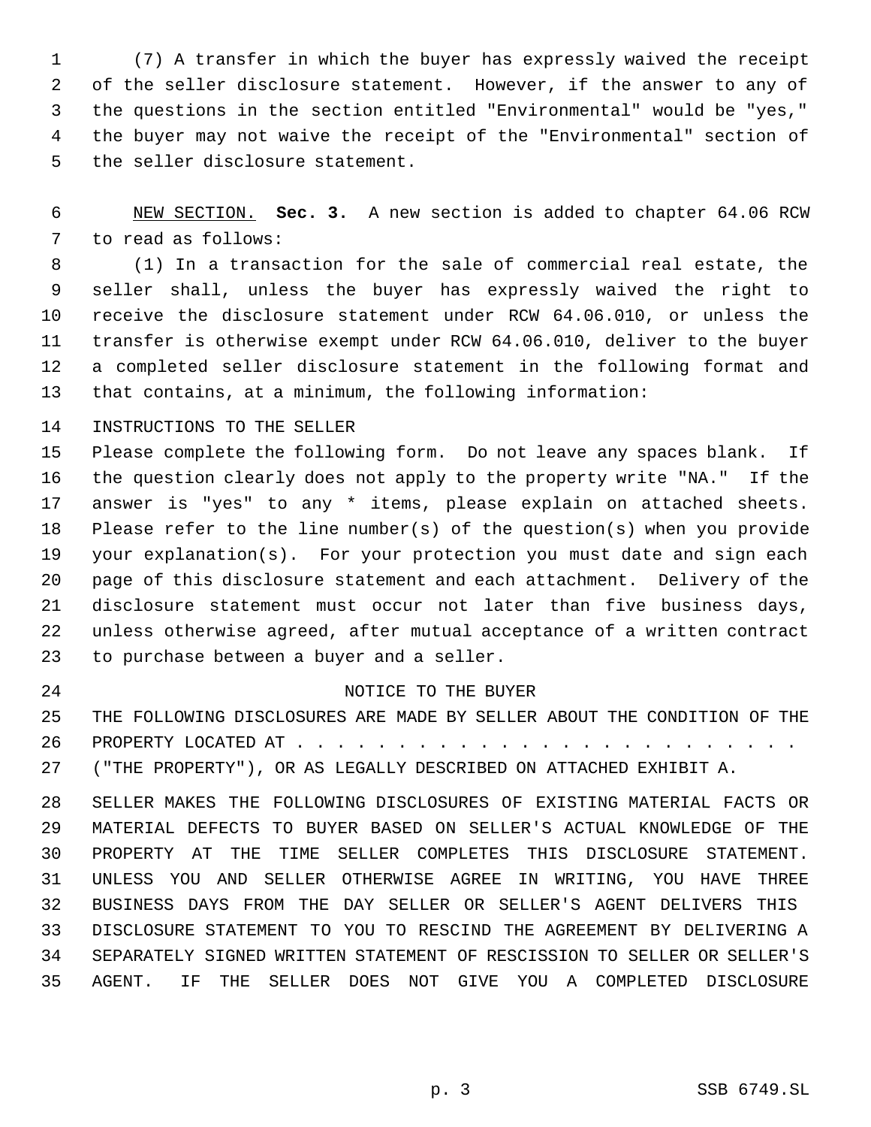(7) A transfer in which the buyer has expressly waived the receipt of the seller disclosure statement. However, if the answer to any of the questions in the section entitled "Environmental" would be "yes," the buyer may not waive the receipt of the "Environmental" section of the seller disclosure statement.

 NEW SECTION. **Sec. 3.** A new section is added to chapter 64.06 RCW to read as follows:

 (1) In a transaction for the sale of commercial real estate, the seller shall, unless the buyer has expressly waived the right to receive the disclosure statement under RCW 64.06.010, or unless the transfer is otherwise exempt under RCW 64.06.010, deliver to the buyer a completed seller disclosure statement in the following format and that contains, at a minimum, the following information:

INSTRUCTIONS TO THE SELLER

 Please complete the following form. Do not leave any spaces blank. If the question clearly does not apply to the property write "NA." If the answer is "yes" to any \* items, please explain on attached sheets. Please refer to the line number(s) of the question(s) when you provide your explanation(s). For your protection you must date and sign each page of this disclosure statement and each attachment. Delivery of the disclosure statement must occur not later than five business days, unless otherwise agreed, after mutual acceptance of a written contract to purchase between a buyer and a seller.

## NOTICE TO THE BUYER

 THE FOLLOWING DISCLOSURES ARE MADE BY SELLER ABOUT THE CONDITION OF THE PROPERTY LOCATED AT . . . . . . . . . . . . . . . . . . . . . . . . .

("THE PROPERTY"), OR AS LEGALLY DESCRIBED ON ATTACHED EXHIBIT A.

 SELLER MAKES THE FOLLOWING DISCLOSURES OF EXISTING MATERIAL FACTS OR MATERIAL DEFECTS TO BUYER BASED ON SELLER'S ACTUAL KNOWLEDGE OF THE PROPERTY AT THE TIME SELLER COMPLETES THIS DISCLOSURE STATEMENT. UNLESS YOU AND SELLER OTHERWISE AGREE IN WRITING, YOU HAVE THREE BUSINESS DAYS FROM THE DAY SELLER OR SELLER'S AGENT DELIVERS THIS DISCLOSURE STATEMENT TO YOU TO RESCIND THE AGREEMENT BY DELIVERING A SEPARATELY SIGNED WRITTEN STATEMENT OF RESCISSION TO SELLER OR SELLER'S AGENT. IF THE SELLER DOES NOT GIVE YOU A COMPLETED DISCLOSURE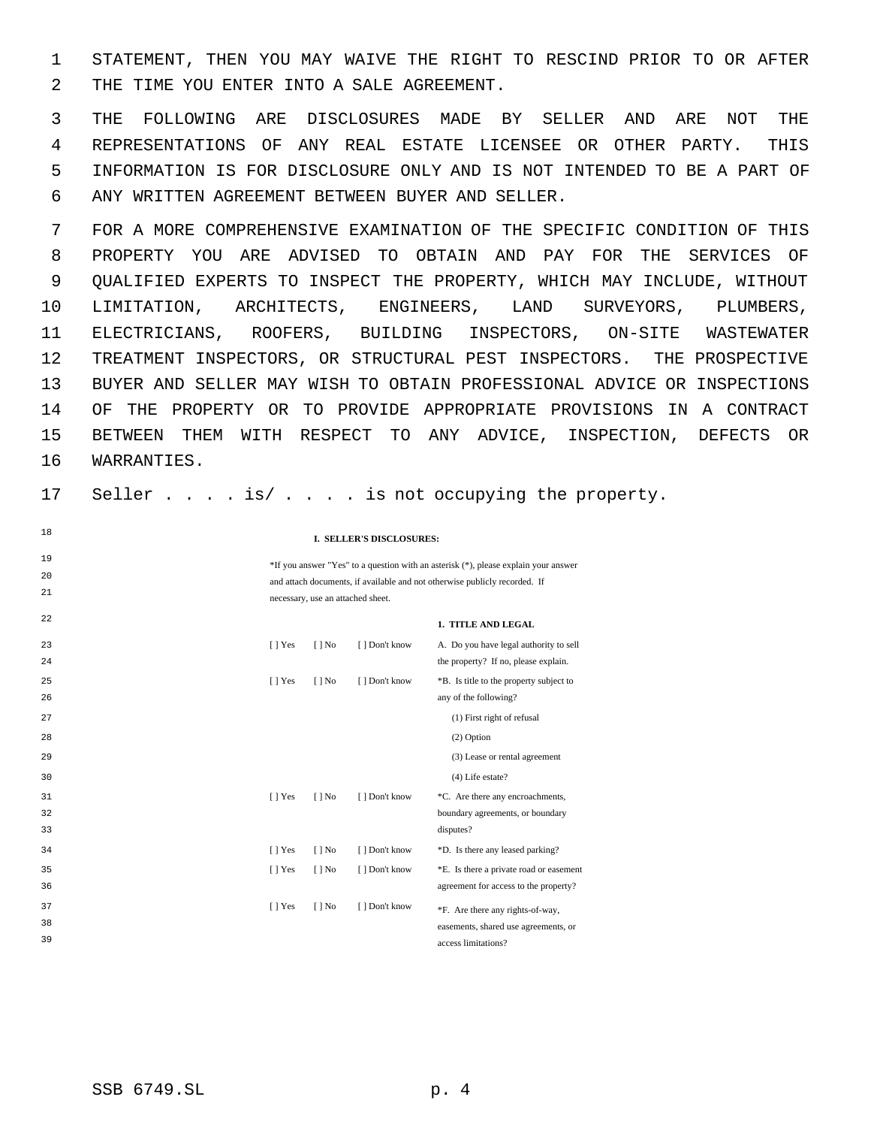STATEMENT, THEN YOU MAY WAIVE THE RIGHT TO RESCIND PRIOR TO OR AFTER THE TIME YOU ENTER INTO A SALE AGREEMENT.

 THE FOLLOWING ARE DISCLOSURES MADE BY SELLER AND ARE NOT THE REPRESENTATIONS OF ANY REAL ESTATE LICENSEE OR OTHER PARTY. THIS INFORMATION IS FOR DISCLOSURE ONLY AND IS NOT INTENDED TO BE A PART OF ANY WRITTEN AGREEMENT BETWEEN BUYER AND SELLER.

 FOR A MORE COMPREHENSIVE EXAMINATION OF THE SPECIFIC CONDITION OF THIS PROPERTY YOU ARE ADVISED TO OBTAIN AND PAY FOR THE SERVICES OF QUALIFIED EXPERTS TO INSPECT THE PROPERTY, WHICH MAY INCLUDE, WITHOUT LIMITATION, ARCHITECTS, ENGINEERS, LAND SURVEYORS, PLUMBERS, ELECTRICIANS, ROOFERS, BUILDING INSPECTORS, ON-SITE WASTEWATER TREATMENT INSPECTORS, OR STRUCTURAL PEST INSPECTORS. THE PROSPECTIVE BUYER AND SELLER MAY WISH TO OBTAIN PROFESSIONAL ADVICE OR INSPECTIONS OF THE PROPERTY OR TO PROVIDE APPROPRIATE PROVISIONS IN A CONTRACT BETWEEN THEM WITH RESPECT TO ANY ADVICE, INSPECTION, DEFECTS OR WARRANTIES.

Seller . . . . is/ . . . . is not occupying the property.

 

**I. SELLER'S DISCLOSURES:**

\*If you answer "Yes" to a question with an asterisk (\*), please explain your answer and attach documents, if available and not otherwise publicly recorded. If necessary, use an attached sheet.

|  |  |  | <b>1. TITLE AND LEGAL</b> |
|--|--|--|---------------------------|
|--|--|--|---------------------------|

| 23 | $[$   Yes | $[$   No | [ ] Don't know | A. Do you have legal authority to sell  |
|----|-----------|----------|----------------|-----------------------------------------|
| 24 |           |          |                | the property? If no, please explain.    |
| 25 | $[$   Yes | $[$   No | [ ] Don't know | *B. Is title to the property subject to |
| 26 |           |          |                | any of the following?                   |
| 27 |           |          |                | (1) First right of refusal              |
| 28 |           |          |                | $(2)$ Option                            |
| 29 |           |          |                | (3) Lease or rental agreement           |
| 30 |           |          |                | $(4)$ Life estate?                      |
| 31 | $[$   Yes | $[$   No | [] Don't know  | *C. Are there any encroachments,        |
| 32 |           |          |                | boundary agreements, or boundary        |
| 33 |           |          |                | disputes?                               |
| 34 | $[$   Yes | $[$   No | [] Don't know  | *D. Is there any leased parking?        |
| 35 | $[$   Yes | $[$   No | [] Don't know  | *E. Is there a private road or easement |
| 36 |           |          |                | agreement for access to the property?   |
| 37 | $[$   Yes | $[$   No | [ ] Don't know | *F. Are there any rights-of-way,        |
| 38 |           |          |                | easements, shared use agreements, or    |
| 39 |           |          |                | access limitations?                     |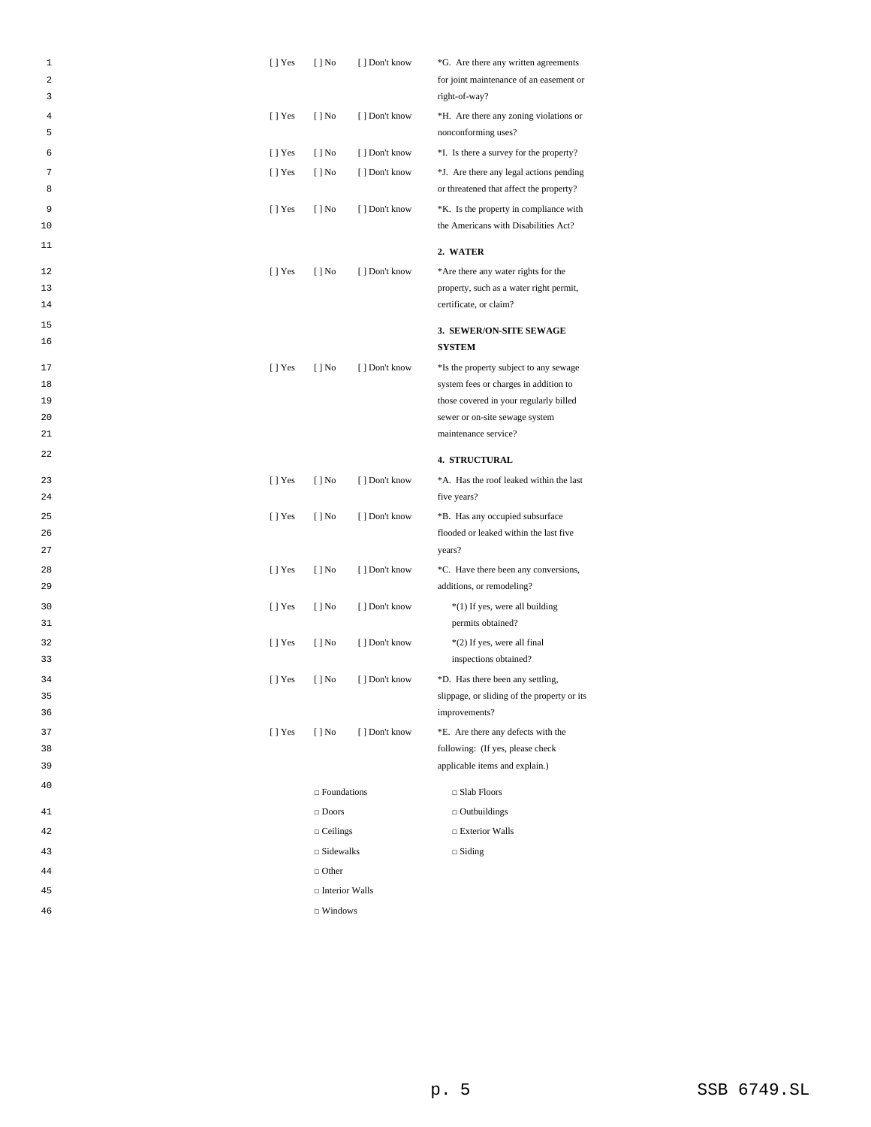| 1<br>2<br>3 | $[ ]$ Yes | $[ ]$ No              | [ ] Don't know | *G. Are there any written agreements<br>for joint maintenance of an easement or<br>right-of-way? |
|-------------|-----------|-----------------------|----------------|--------------------------------------------------------------------------------------------------|
| 4<br>5      | $[ ]$ Yes | $[ ]$ No              | [ ] Don't know | *H. Are there any zoning violations or<br>nonconforming uses?                                    |
| 6           | $[ ]$ Yes | $[ ]$ No              | [ ] Don't know | *I. Is there a survey for the property?                                                          |
| 7<br>8      | $[ ]$ Yes | $[ ]$ No              | [ ] Don't know | *J. Are there any legal actions pending<br>or threatened that affect the property?               |
| 9<br>10     | $[ ]$ Yes | $[ ]$ No              | [ ] Don't know | *K. Is the property in compliance with<br>the Americans with Disabilities Act?                   |
| 11          |           |                       |                | 2. WATER                                                                                         |
| 12          | $[ ]$ Yes | $[ ]$ No              | [ ] Don't know | *Are there any water rights for the                                                              |
| 13          |           |                       |                | property, such as a water right permit,                                                          |
| 14          |           |                       |                | certificate, or claim?                                                                           |
| 15          |           |                       |                | 3. SEWER/ON-SITE SEWAGE                                                                          |
| 16          |           |                       |                | <b>SYSTEM</b>                                                                                    |
| 17          | $[ ]$ Yes | $[$   No              | [] Don't know  | *Is the property subject to any sewage                                                           |
| 18          |           |                       |                | system fees or charges in addition to                                                            |
| 19          |           |                       |                | those covered in your regularly billed                                                           |
| 20          |           |                       |                | sewer or on-site sewage system                                                                   |
| 21          |           |                       |                | maintenance service?                                                                             |
| 22          |           |                       |                | <b>4. STRUCTURAL</b>                                                                             |
| 23          | $[ ]$ Yes | $[ ]$ No              | [ ] Don't know | *A. Has the roof leaked within the last                                                          |
| 24          |           |                       |                | five years?                                                                                      |
| 25          | $[ ]$ Yes | $[ ]$ No              | [ ] Don't know | *B. Has any occupied subsurface                                                                  |
| 26          |           |                       |                | flooded or leaked within the last five                                                           |
| 27          |           |                       |                | years?                                                                                           |
| 28          | $[ ]$ Yes | $[ ]$ No              | [ ] Don't know | *C. Have there been any conversions,                                                             |
| 29          |           |                       |                | additions, or remodeling?                                                                        |
| 30<br>31    | $[ ]$ Yes | $[ ]$ No              | [] Don't know  | *(1) If yes, were all building                                                                   |
|             |           |                       |                | permits obtained?                                                                                |
| 32<br>33    | $[ ]$ Yes | $[ ]$ No              | [ ] Don't know | *(2) If yes, were all final<br>inspections obtained?                                             |
| 34          | $[ ]$ Yes | $[ ]$ No              | [ ] Don't know | *D. Has there been any settling,                                                                 |
| 35          |           |                       |                | slippage, or sliding of the property or its                                                      |
| 36          |           |                       |                | improvements?                                                                                    |
| 37          | $[ ]$ Yes | $[$   No              | [] Don't know  | *E. Are there any defects with the                                                               |
| 38          |           |                       |                | following: (If yes, please check                                                                 |
| 39          |           |                       |                | applicable items and explain.)                                                                   |
| 40          |           | $\Box$ Foundations    |                | $\Box$ Slab Floors                                                                               |
| 41          |           | $\Box$ Doors          |                | $\Box$ Outbuildings                                                                              |
| 42          |           | $\Box$ Ceilings       |                | $\Box$ Exterior Walls                                                                            |
| 43          |           | $\square$ Sidewalks   |                | $\Box$ Siding                                                                                    |
| 44          |           | $\Box$ Other          |                |                                                                                                  |
| 45          |           | $\Box$ Interior Walls |                |                                                                                                  |
| 46          |           | $\Box$ Windows        |                |                                                                                                  |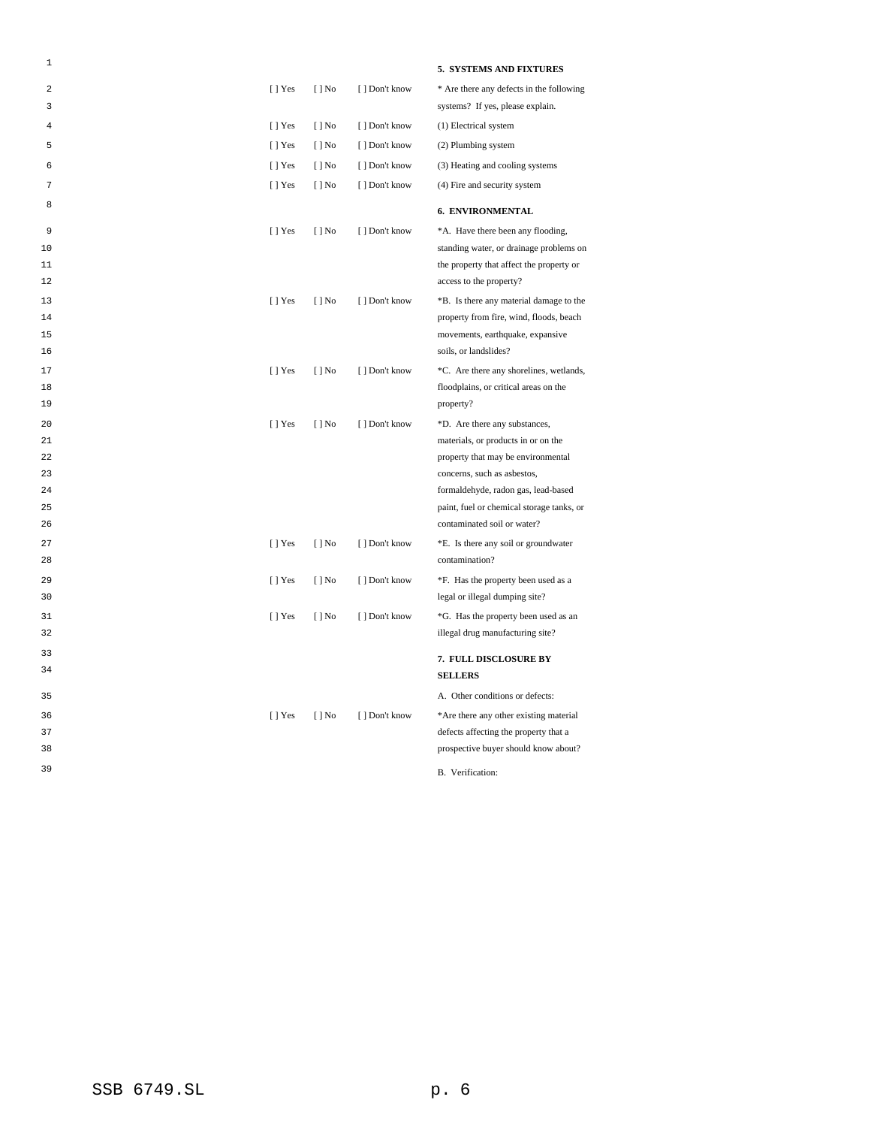| 1  |                |                          |                | 5. SYSTEMS AND FIXTURES                   |
|----|----------------|--------------------------|----------------|-------------------------------------------|
| 2  | $[ ]$ Yes      | $[$   No                 | [ ] Don't know | * Are there any defects in the following  |
| 3  |                |                          |                | systems? If yes, please explain.          |
| 4  | [] Yes         | $[ ]$ No                 | [ ] Don't know | (1) Electrical system                     |
| 5  | $[$   Yes      | $[$   No                 | [ ] Don't know | (2) Plumbing system                       |
| 6  | $[ ]$ Yes      | $[$   No                 | [] Don't know  | (3) Heating and cooling systems           |
| 7  | [] Yes         | $[ ]$ No                 | [ ] Don't know | (4) Fire and security system              |
| 8  |                |                          |                | <b>6. ENVIRONMENTAL</b>                   |
| 9  | $\lceil$   Yes | $\lceil \cdot \rceil$ No | [ ] Don't know | *A. Have there been any flooding,         |
| 10 |                |                          |                | standing water, or drainage problems on   |
| 11 |                |                          |                | the property that affect the property or  |
| 12 |                |                          |                | access to the property?                   |
| 13 | $[$   Yes      | $\lceil \cdot \rceil$ No | [ ] Don't know | *B. Is there any material damage to the   |
| 14 |                |                          |                | property from fire, wind, floods, beach   |
| 15 |                |                          |                | movements, earthquake, expansive          |
| 16 |                |                          |                | soils, or landslides?                     |
| 17 | $[$   Yes      | $\lceil \cdot \rceil$ No | [ ] Don't know | *C. Are there any shorelines, wetlands,   |
| 18 |                |                          |                | floodplains, or critical areas on the     |
| 19 |                |                          |                | property?                                 |
| 20 | [] Yes         | $[ ]$ No                 | [ ] Don't know | *D. Are there any substances,             |
| 21 |                |                          |                | materials, or products in or on the       |
| 22 |                |                          |                | property that may be environmental        |
| 23 |                |                          |                | concerns, such as asbestos,               |
| 24 |                |                          |                | formaldehyde, radon gas, lead-based       |
| 25 |                |                          |                | paint, fuel or chemical storage tanks, or |
| 26 |                |                          |                | contaminated soil or water?               |
| 27 | $\lceil$   Yes | $\lceil \cdot \rceil$ No | [] Don't know  | *E. Is there any soil or groundwater      |
| 28 |                |                          |                | contamination?                            |
| 29 | $[$   Yes      | $[$   No                 | [] Don't know  | *F. Has the property been used as a       |
| 30 |                |                          |                | legal or illegal dumping site?            |
| 31 | [] Yes         | $[ ]$ No                 | [ ] Don't know | *G. Has the property been used as an      |
| 32 |                |                          |                | illegal drug manufacturing site?          |
| 33 |                |                          |                | 7. FULL DISCLOSURE BY                     |
| 34 |                |                          |                | <b>SELLERS</b>                            |
| 35 |                |                          |                | A. Other conditions or defects:           |
| 36 | $[$   Yes      | $\lceil \cdot \rceil$ No | [] Don't know  | *Are there any other existing material    |
| 37 |                |                          |                | defects affecting the property that a     |
| 38 |                |                          |                | prospective buyer should know about?      |
| 39 |                |                          |                | B. Verification:                          |
|    |                |                          |                |                                           |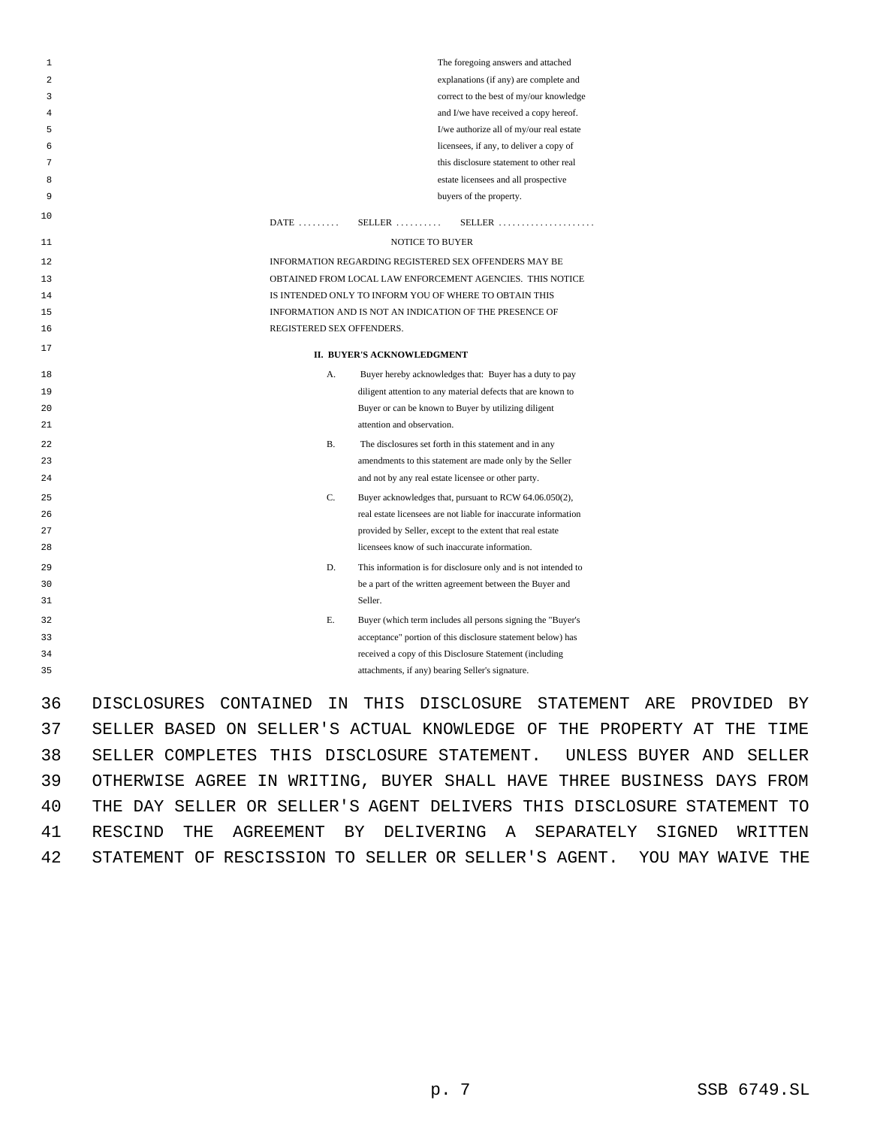| 1              |                                                         |      |           | The foregoing answers and attached                              |  |  |
|----------------|---------------------------------------------------------|------|-----------|-----------------------------------------------------------------|--|--|
| $\overline{a}$ |                                                         |      |           | explanations (if any) are complete and                          |  |  |
| 3              |                                                         |      |           | correct to the best of my/our knowledge                         |  |  |
| 4              |                                                         |      |           | and I/we have received a copy hereof.                           |  |  |
| 5              |                                                         |      |           | I/we authorize all of my/our real estate                        |  |  |
| 6              |                                                         |      |           | licensees, if any, to deliver a copy of                         |  |  |
| 7              |                                                         |      |           | this disclosure statement to other real                         |  |  |
| 8              |                                                         |      |           | estate licensees and all prospective                            |  |  |
| 9              |                                                         |      |           | buyers of the property.                                         |  |  |
| 10             |                                                         | DATE |           | SELLER<br>$SELECT R$                                            |  |  |
| 11             |                                                         |      |           | NOTICE TO BUYER                                                 |  |  |
| 12             |                                                         |      |           | INFORMATION REGARDING REGISTERED SEX OFFENDERS MAY BE           |  |  |
| 13             |                                                         |      |           | OBTAINED FROM LOCAL LAW ENFORCEMENT AGENCIES. THIS NOTICE       |  |  |
| 14             | IS INTENDED ONLY TO INFORM YOU OF WHERE TO OBTAIN THIS  |      |           |                                                                 |  |  |
| 15             | INFORMATION AND IS NOT AN INDICATION OF THE PRESENCE OF |      |           |                                                                 |  |  |
| 16             | REGISTERED SEX OFFENDERS.                               |      |           |                                                                 |  |  |
| 17             |                                                         |      |           | II. BUYER'S ACKNOWLEDGMENT                                      |  |  |
| 18             |                                                         |      | А.        | Buyer hereby acknowledges that: Buyer has a duty to pay         |  |  |
| 19             |                                                         |      |           | diligent attention to any material defects that are known to    |  |  |
| 20             |                                                         |      |           | Buyer or can be known to Buyer by utilizing diligent            |  |  |
| 21             |                                                         |      |           | attention and observation.                                      |  |  |
| 22             |                                                         |      | <b>B.</b> | The disclosures set forth in this statement and in any          |  |  |
| 23             |                                                         |      |           | amendments to this statement are made only by the Seller        |  |  |
| 24             |                                                         |      |           | and not by any real estate licensee or other party.             |  |  |
| 25             |                                                         |      | C.        | Buyer acknowledges that, pursuant to RCW 64.06.050(2),          |  |  |
| 26             |                                                         |      |           | real estate licensees are not liable for inaccurate information |  |  |
| 27             |                                                         |      |           | provided by Seller, except to the extent that real estate       |  |  |
| 28             |                                                         |      |           | licensees know of such inaccurate information.                  |  |  |
| 29             |                                                         |      | D.        | This information is for disclosure only and is not intended to  |  |  |
| 30             |                                                         |      |           | be a part of the written agreement between the Buyer and        |  |  |
| 31             |                                                         |      |           | Seller.                                                         |  |  |
| 32             |                                                         |      | E.        | Buyer (which term includes all persons signing the "Buyer's     |  |  |
| 33             |                                                         |      |           | acceptance" portion of this disclosure statement below) has     |  |  |
| 34             |                                                         |      |           | received a copy of this Disclosure Statement (including         |  |  |
| 35             |                                                         |      |           | attachments, if any) bearing Seller's signature.                |  |  |
| つに             | റ                                                       |      |           | ר ר<br>57 C C T<br>ᇬᅲᇧᅲᆑ<br>$\bigcap$ CIID D                    |  |  |

 DISCLOSURES CONTAINED IN THIS DISCLOSURE STATEMENT ARE PROVIDED BY SELLER BASED ON SELLER'S ACTUAL KNOWLEDGE OF THE PROPERTY AT THE TIME SELLER COMPLETES THIS DISCLOSURE STATEMENT. UNLESS BUYER AND SELLER OTHERWISE AGREE IN WRITING, BUYER SHALL HAVE THREE BUSINESS DAYS FROM THE DAY SELLER OR SELLER'S AGENT DELIVERS THIS DISCLOSURE STATEMENT TO RESCIND THE AGREEMENT BY DELIVERING A SEPARATELY SIGNED WRITTEN STATEMENT OF RESCISSION TO SELLER OR SELLER'S AGENT. YOU MAY WAIVE THE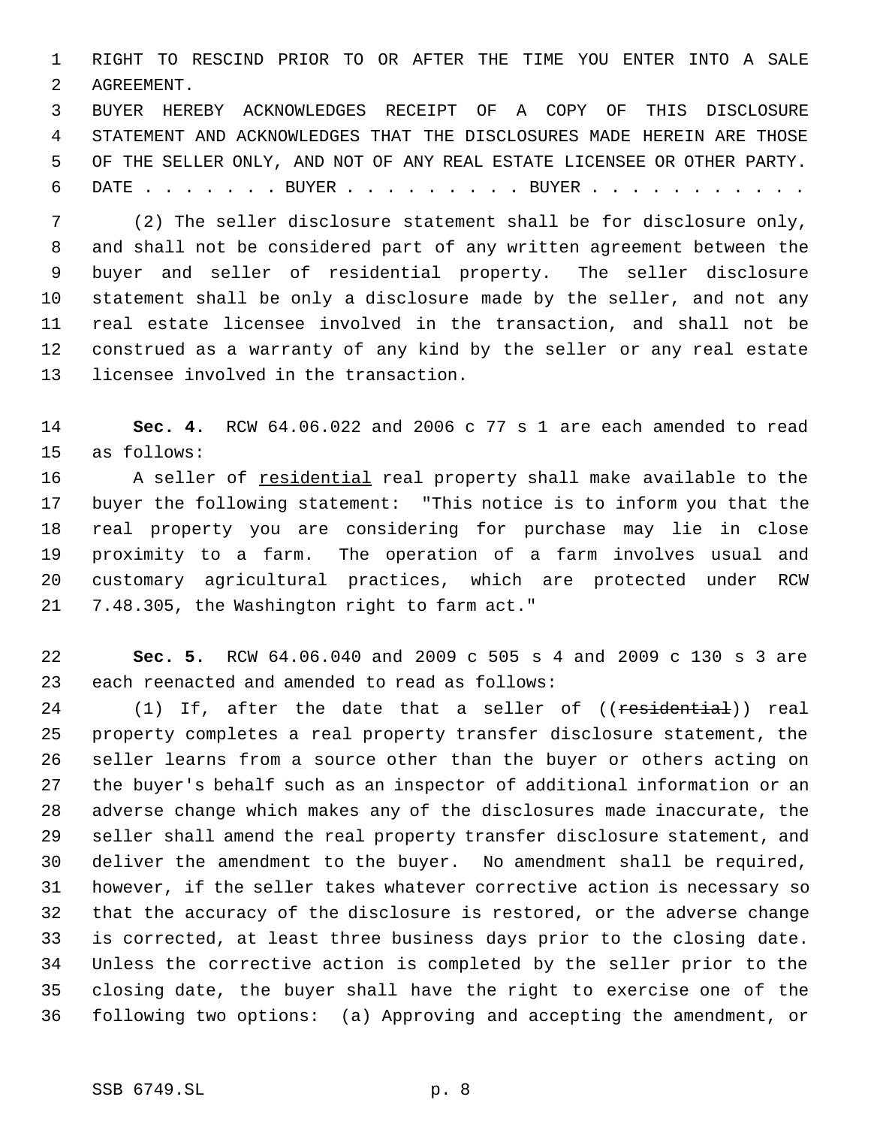RIGHT TO RESCIND PRIOR TO OR AFTER THE TIME YOU ENTER INTO A SALE AGREEMENT.

 BUYER HEREBY ACKNOWLEDGES RECEIPT OF A COPY OF THIS DISCLOSURE STATEMENT AND ACKNOWLEDGES THAT THE DISCLOSURES MADE HEREIN ARE THOSE OF THE SELLER ONLY, AND NOT OF ANY REAL ESTATE LICENSEE OR OTHER PARTY. DATE . . . . . . . BUYER . . . . . . . . . BUYER . . . . . . . . . . .

 (2) The seller disclosure statement shall be for disclosure only, and shall not be considered part of any written agreement between the buyer and seller of residential property. The seller disclosure statement shall be only a disclosure made by the seller, and not any real estate licensee involved in the transaction, and shall not be construed as a warranty of any kind by the seller or any real estate licensee involved in the transaction.

 **Sec. 4.** RCW 64.06.022 and 2006 c 77 s 1 are each amended to read as follows:

 A seller of residential real property shall make available to the buyer the following statement: "This notice is to inform you that the real property you are considering for purchase may lie in close proximity to a farm. The operation of a farm involves usual and customary agricultural practices, which are protected under RCW 7.48.305, the Washington right to farm act."

 **Sec. 5.** RCW 64.06.040 and 2009 c 505 s 4 and 2009 c 130 s 3 are each reenacted and amended to read as follows:

24 (1) If, after the date that a seller of ((residential)) real property completes a real property transfer disclosure statement, the seller learns from a source other than the buyer or others acting on the buyer's behalf such as an inspector of additional information or an adverse change which makes any of the disclosures made inaccurate, the seller shall amend the real property transfer disclosure statement, and deliver the amendment to the buyer. No amendment shall be required, however, if the seller takes whatever corrective action is necessary so that the accuracy of the disclosure is restored, or the adverse change is corrected, at least three business days prior to the closing date. Unless the corrective action is completed by the seller prior to the closing date, the buyer shall have the right to exercise one of the following two options: (a) Approving and accepting the amendment, or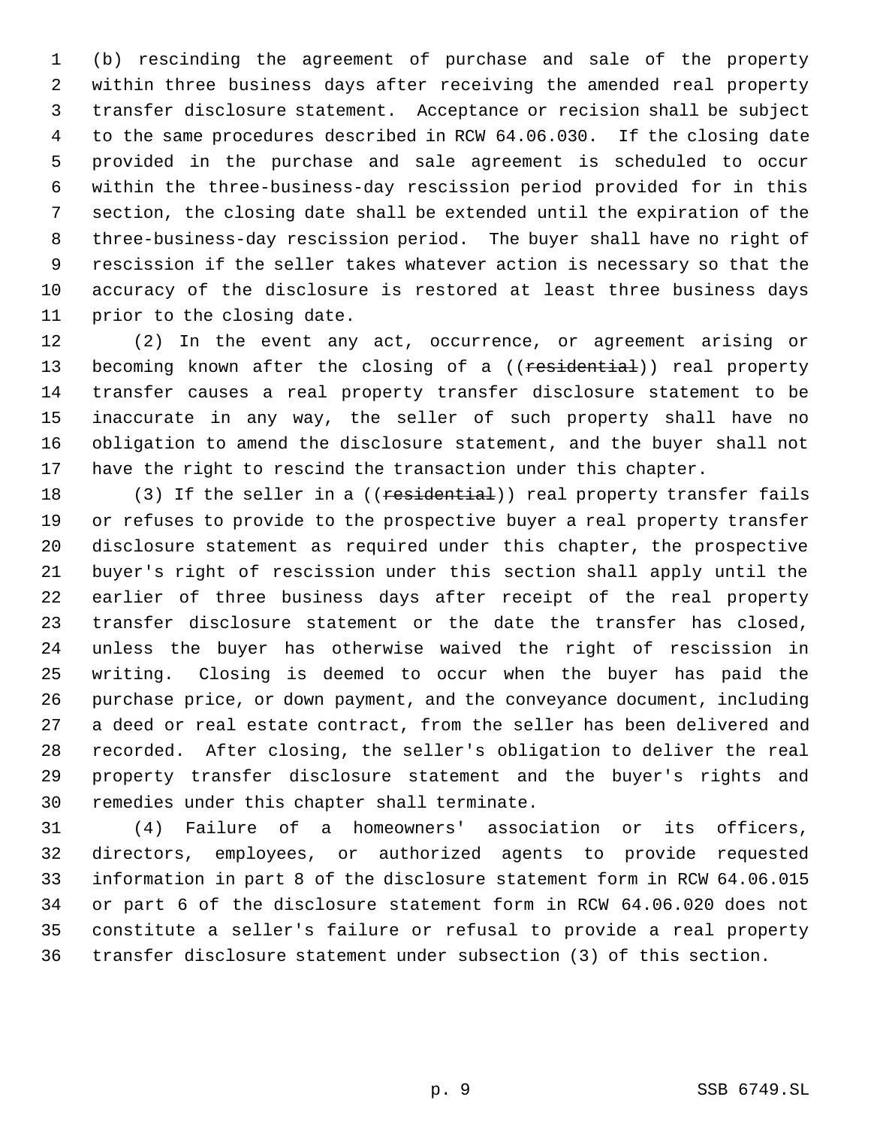(b) rescinding the agreement of purchase and sale of the property within three business days after receiving the amended real property transfer disclosure statement. Acceptance or recision shall be subject to the same procedures described in RCW 64.06.030. If the closing date provided in the purchase and sale agreement is scheduled to occur within the three-business-day rescission period provided for in this section, the closing date shall be extended until the expiration of the three-business-day rescission period. The buyer shall have no right of rescission if the seller takes whatever action is necessary so that the accuracy of the disclosure is restored at least three business days prior to the closing date.

 (2) In the event any act, occurrence, or agreement arising or 13 becoming known after the closing of a ((residential)) real property transfer causes a real property transfer disclosure statement to be inaccurate in any way, the seller of such property shall have no obligation to amend the disclosure statement, and the buyer shall not have the right to rescind the transaction under this chapter.

18 (3) If the seller in a ((residential)) real property transfer fails or refuses to provide to the prospective buyer a real property transfer disclosure statement as required under this chapter, the prospective buyer's right of rescission under this section shall apply until the earlier of three business days after receipt of the real property transfer disclosure statement or the date the transfer has closed, unless the buyer has otherwise waived the right of rescission in writing. Closing is deemed to occur when the buyer has paid the purchase price, or down payment, and the conveyance document, including a deed or real estate contract, from the seller has been delivered and recorded. After closing, the seller's obligation to deliver the real property transfer disclosure statement and the buyer's rights and remedies under this chapter shall terminate.

 (4) Failure of a homeowners' association or its officers, directors, employees, or authorized agents to provide requested information in part 8 of the disclosure statement form in RCW 64.06.015 or part 6 of the disclosure statement form in RCW 64.06.020 does not constitute a seller's failure or refusal to provide a real property transfer disclosure statement under subsection (3) of this section.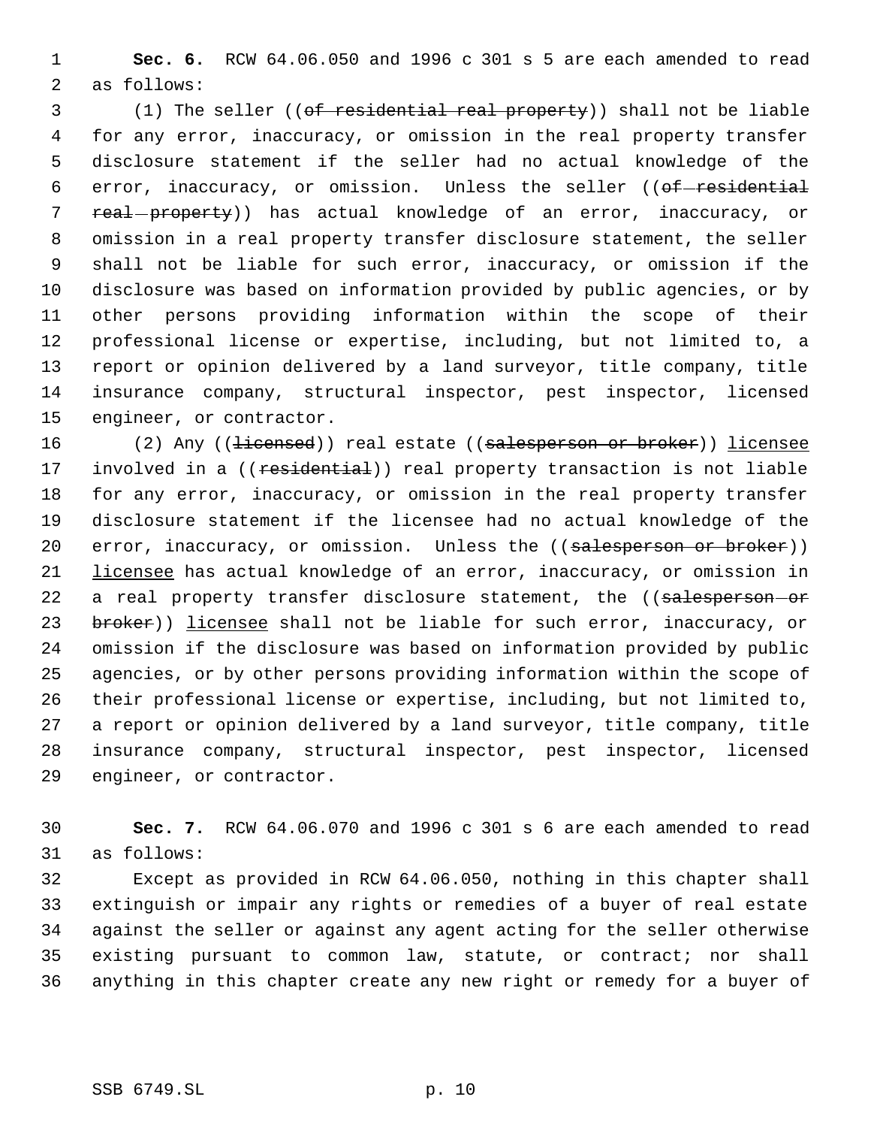**Sec. 6.** RCW 64.06.050 and 1996 c 301 s 5 are each amended to read as follows:

3 (1) The seller ((of residential real property)) shall not be liable for any error, inaccuracy, or omission in the real property transfer disclosure statement if the seller had no actual knowledge of the 6 error, inaccuracy, or omission. Unless the seller ( $of$ -residential 7 real-property)) has actual knowledge of an error, inaccuracy, or omission in a real property transfer disclosure statement, the seller shall not be liable for such error, inaccuracy, or omission if the disclosure was based on information provided by public agencies, or by other persons providing information within the scope of their professional license or expertise, including, but not limited to, a report or opinion delivered by a land surveyor, title company, title insurance company, structural inspector, pest inspector, licensed engineer, or contractor.

16 (2) Any ((<del>licensed</del>)) real estate ((salesperson or broker)) licensee 17 involved in a ((residential)) real property transaction is not liable for any error, inaccuracy, or omission in the real property transfer disclosure statement if the licensee had no actual knowledge of the 20 error, inaccuracy, or omission. Unless the ((salesperson or broker)) licensee has actual knowledge of an error, inaccuracy, or omission in 22 a real property transfer disclosure statement, the ((salesperson-or 23 broker)) licensee shall not be liable for such error, inaccuracy, or omission if the disclosure was based on information provided by public agencies, or by other persons providing information within the scope of their professional license or expertise, including, but not limited to, a report or opinion delivered by a land surveyor, title company, title insurance company, structural inspector, pest inspector, licensed engineer, or contractor.

 **Sec. 7.** RCW 64.06.070 and 1996 c 301 s 6 are each amended to read as follows:

 Except as provided in RCW 64.06.050, nothing in this chapter shall extinguish or impair any rights or remedies of a buyer of real estate against the seller or against any agent acting for the seller otherwise existing pursuant to common law, statute, or contract; nor shall anything in this chapter create any new right or remedy for a buyer of